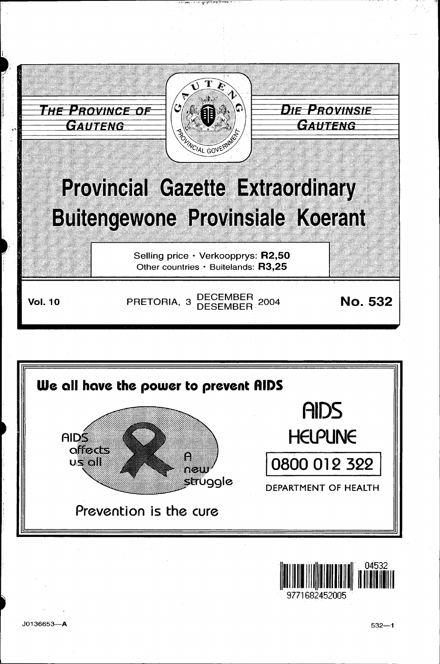



71682452005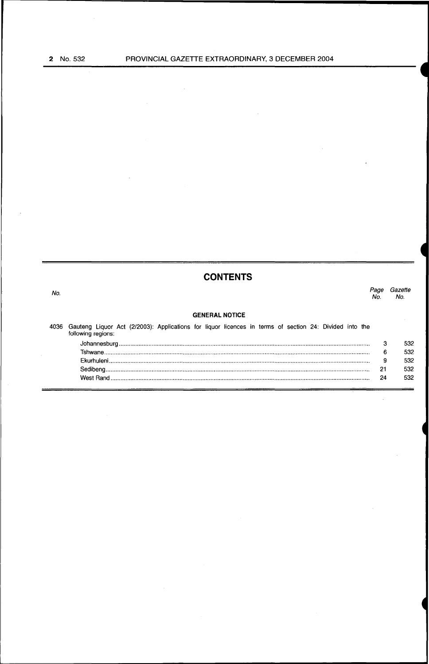$\equiv$ 

 $\bar{z}$ 

 $\bar{\mathcal{A}}$ 

|      | <b>CONTENTS</b>                                                                                                              |             |                |
|------|------------------------------------------------------------------------------------------------------------------------------|-------------|----------------|
| No.  |                                                                                                                              | Page<br>No. | Gazette<br>No. |
|      | <b>GENERAL NOTICE</b>                                                                                                        |             |                |
| 4036 | Gauteng Liquor Act (2/2003): Applications for liquor licences in terms of section 24: Divided into the<br>following regions: |             |                |
|      |                                                                                                                              | 3           | 532            |
|      |                                                                                                                              | 6           | 532            |
|      |                                                                                                                              | 9           | 532            |
|      |                                                                                                                              | 21          | 532            |
|      |                                                                                                                              | 24          | 532            |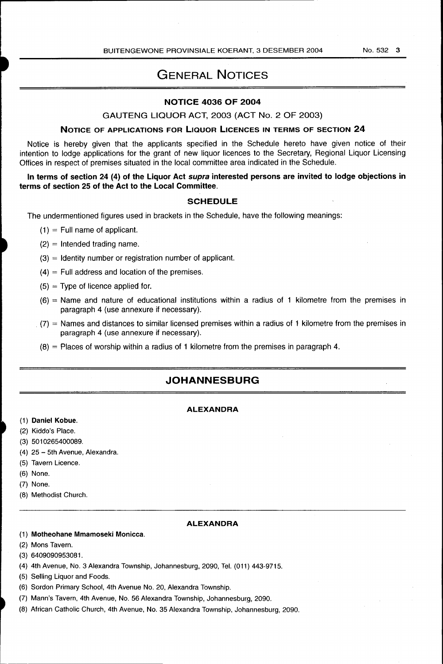BUITENGEWONE PROVINSIALE KOERANT, 3 DESEMBER 2004 No. 532 3

## GENERAL NOTICES

## NOTICE 4036 OF 2004

## GAUTENG LIQUOR ACT, 2003 (ACT No. 2 OF 2003)

## NOTICE OF APPLICATIONS FOR LIQUOR LICENCES IN TERMS OF SECTION 24

Notice is hereby given that the applicants specified in the Schedule hereto have given notice of their intention to lodge applications for the grant of new liquor licences to the Secretary, Regional Liquor Licensing Offices in respect of premises situated in the local committee area indicated in the Schedule.

## In terms of section 24 (4) of the Liquor Act supra interested persons are invited to lodge objections in terms of section 25 of the Act to the Local Committee.

## **SCHEDULE**

The undermentioned figures used in brackets in the Schedule, have the following meanings:

- $(1)$  = Full name of applicant.
- $(2)$  = Intended trading name.
- (3) = Identity number or registration number of applicant.
- $(4)$  = Full address and location of the premises.
- $(5)$  = Type of licence applied for.
- (6) = Name and nature of educational institutions within a radius of 1 kilometre from the premises in paragraph 4 (use annexure if necessary) .
- $(7)$  = Names and distances to similar licensed premises within a radius of 1 kilometre from the premises in paragraph 4 (use annexure if necessary).
- $(8)$  = Places of worship within a radius of 1 kilometre from the premises in paragraph 4.

## **JOHANNESBURG**

## ALEXANDRA

- (1) Daniel Kobue.
- (2) Kiddo's Place.
- (3) 5010265400089.
- (4) 25- 5th Avenue, Alexandra.
- (5) Tavern Licence.
- (6) None.
- (7) None.
- (8) Methodist Church.

## ALEXANDRA

#### (1) Motheohane Mmamoseki Monicca.

- (2) Mons Tavern.
- (3) 6409090953081.
- (4) 4th Avenue, No. 3 Alexandra Township, Johannesburg, 2090, Tel. (011) 443-9715.
- (5) Selling Liquor and Foods.
- (6) Sordon Primary School, 4th Avenue No. 20, Alexandra Township.
- (7) Mann's Tavern, 4th Avenue, No. 56 Alexandra Township, Johannesburg, 2090.
- (8) African Catholic Church, 4th Avenue, No. 35 Alexandra Township, Johannesburg, 2090.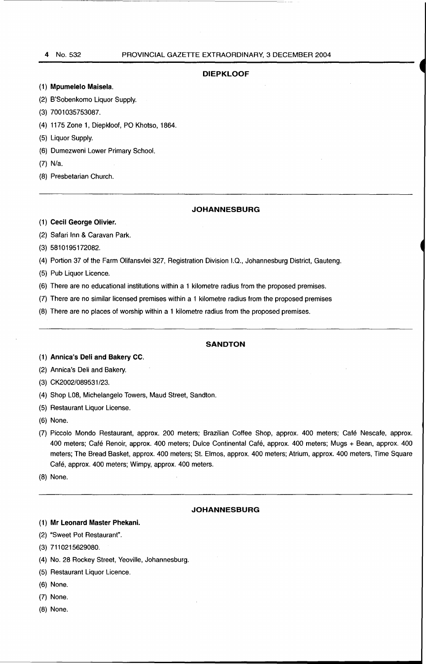#### **DIEPKLOOF**

#### (1) **Mpumelelo Maisela.**

- (2) B'Sobenkomo Liquor Supply.
- (3) 7001035753087.
- (4) 1175 Zone 1, Diepkloof, PO Khotso, 1864.
- (5) Liquor Supply.
- (6) Dumezweni Lower Primary School.
- (7) N/a.
- (8) Presbetarian Church.

## **JOHANNESBURG**

- (1) **Cecil George Olivier.**
- (2) Safari Inn & Caravan Park.
- (3) 5810195172082.
- (4) Portion 37 of the Farm Olifansvlei 327, Registration Division I.Q., Johannesburg District, Gauteng.
- (5) Pub Liquor Licence.
- (6) There are no educational institutions within a 1 kilometre radius from the proposed premises.
- (7) There are no similar licensed premises within a 1 kilometre radius from the proposed premises
- (8) There are no places of worship within a 1 kilometre radius from the proposed premises.

### **SANDTON**

- (1) **Annica's Deli and Bakery CC.**
- (2) Annica's Deli and Bakery.
- (3) CK2002/089531/23.
- (4) Shop LOB, Michelangelo Towers, Maud Street, Sandton.
- (5) Restaurant Liquor License.
- (6) None.
- (7) Piccolo Mondo Restaurant, approx. 200 meters; Brazilian Coffee Shop, approx. 400 meters; Cafe Nescafe, approx. 400 meters; Cafe Renoir, approx. 400 meters; Dulce Continental Cafe, approx. 400 meters; Mugs + Bean, approx. 400 meters; The Bread Basket, approx. 400 meters; St. Elmos, approx. 400 meters; Atrium, approx. 400 meters, Time Square Café, approx. 400 meters; Wimpy, approx. 400 meters.
- (8) None.

## **JOHANNESBURG**

## (1) Mr **Leonard Master Phekani.**

- (2) "Sweet Pot Restaurant".
- (3) 7110215629080.
- (4) No. 28 Rockey Street, Yeoville, Johannesburg.
- (5) Restaurant Liquor Licence.
- (6) None.
- (7) None.
- (8) None.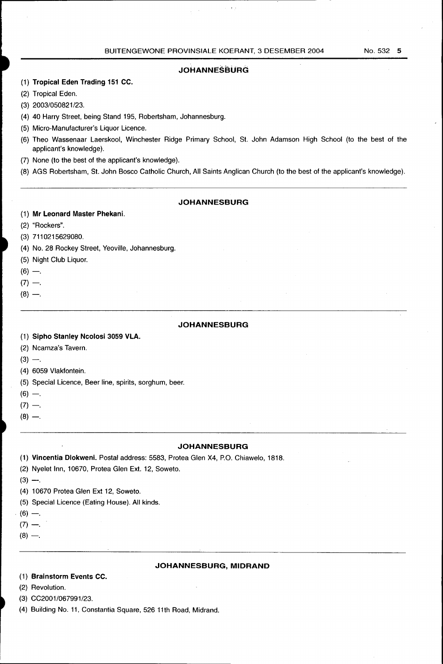$\mathbf{v}$  .

## **JOHANNESBURG**

- (1) **Tropical Eden Trading 151 CC.**
- (2) Tropical Eden.
- (3) 2003/050821/23.
- (4) 40 Harry Street, being Stand 195, Robertsham, Johannesburg.
- (5) Micro-Manufacturer's Liquor Licence.
- (6) Theo Wassenaar Laerskool, Winchester Ridge Primary School, St. John Adamson High School (to the best of the applicant's knowledge).
- (7) None (to the best of the applicant's knowledge).
- (8) AGS Robertsham, St. John Bosco Catholic Church, All Saints Anglican Church (to the best of the applicant's knowledge).

## **JOHANNESBURG**

## (1) **Mr Leonard Master Phekani.**

- (2) "Rockers".
- (3) 7110215629080.
- (4) No. 28 Rockey Street, Yeoville, Johannesburg.
- (5) Night Club Liquor.
- $(6) -$ .
- $(7) -$
- $(8) -$ .

### **JOHANNESBURG**

- (1) **Sipho Stanley Ncolosi 3059 VLA.**
- (2) Ncamza's Tavern.
- $(3) -$ .
- (4) 6059 Vlakfontein.
- (5) Special Licence, Beer line, spirits, sorghum, beer.
- $(6) -$ .
- $(7) -$ .
- $(8) -$ .

#### **JOHANNESBURG**

- (1) **Vincentia Dlokweni.** Postal address: 5583, Protea Glen X4, P.O. Chiawelo, 1818.
- (2) Nyelet Inn, 10670, Protea Glen Ext. 12, Soweto.
- $(3) -$
- (4) 10670 Protea Glen Ext 12, Soweto.
- (5) Special Licence (Eating House). All kinds .
- $(6)$  -...
- $(7) -$ .
- $(8) -$ .

#### **JOHANNESBURG,MIDRAND**

## (1) **Brainstorm Events CC.**

- (2) Revolution.
- (3) CC2001/067991/23.
- (4) Building No. 11, Constantia Square, 526 11th Road, Midrand.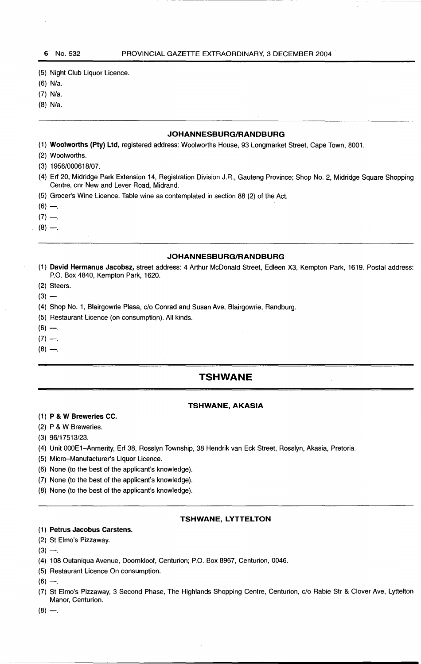(5) Night Club Liquor Licence.

- (6) N/a.
- (7) N/a.
- (8) N/a.

## **JOHANNESBURG/RANDBURG**

(1) **Woolworths (Pty) Ltd,** registered address: Woolworths House, 93 Longmarket Street, Cape Town, 8001.

- (2) Woolworths.
- (3) 1956/000618/07.
- (4) Erf 20, Midridge Park Extension 14, Registration Division J.R., Gauteng Province; Shop No.2, Midridge Square Shopping Centre, cnr New and Lever Road, Midrand.
- (5) Grocer's Wine Licence. Table wine as contemplated in section 88 (2) of the Act.
- $(6) -$
- $(7) -$
- $(8) -$

#### **JOHANNESBURG/RANDBURG**

- (1) **David Hermanus Jacobsz,** street address: 4 Arthur McDonald Street, Edleen X3, Kempton Park, 1619. Postal address: P.O. Box 4840, Kempton Park, 1620.
- (2) Steers.
- $(3) -$
- (4) Shop No. 1, Blairgowrie Piasa, c/o Conrad and Susan Ave, Blairgowrie, Randburg.
- (5} Restaurant Licence (on consumption). All kinds.
- $(6) -$
- $(7) -$
- $(8) -$

## **TSHWANE**

## **TSHWANE, AKASIA**

## (1) **P & W Breweries CC.**

- (2) P & W Breweries.
- (3) 96/17513/23.
- (4) Unit OOOE1-Anmerity, Erf 38, Rosslyn Township, 38 Hendrik van Eck Street, Rosslyn, Akasia, Pretoria.
- (5) Micro-Manufacturer's Liquor Licence.
- (6) None (to the best of the applicant's knowledge).
- (7) None (to the best of the applicant's knowledge).
- (8) None (to the best of the applicant's knowledge).

## **TSHWANE, LYTTELTON**

#### (1) **Petrus Jacobus Carstens.**

- (2) St Elmo's Pizzaway.
- $(3) -$
- (4) 108 Outaniqua Avenue, Doornkloof, Centurion; P.O. Box 8967, Centurion, 0046.
- (5) Restaurant Licence On consumption.

 $(6) -$ 

- (7) St Elmo's Pizzaway, 3 Second Phase, The Highlands Shopping Centre, Centurion, c/o Rabie Str & Clover Ave, Lyttelton Manor, Centurion.
- $(8) -$ .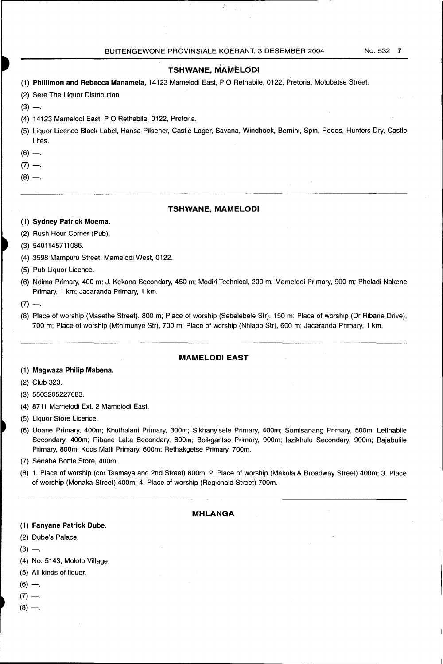÷

## **TSHWANE, MAMELODI**

- (1) **Phillimon and Rebecca Manamela,** 14123 Mamelodi East, P 0 Rethabile, 0122, Pretoria, Motubatse Street.
- (2) Sere The Liquor Distribution.
- $(3) -$
- (4) 14123 Mamelodi East, P 0 Rethabile, 0122, Pretoria.
- (5) Liquor Licence Black Label, Hansa Pilsener, Castle Lager, Savana, Windhoek, Bernini, Spin, Redds, Hunters Dry, Castle Lites.
- $(6)$  -.
- $(7) -$ .
- 
- $(8) -$ .

#### **TSHWANE, MAMELODI**

- (1) **Sydney Patrick Moema.**
- (2) Rush Hour Corner (Pub).
- (3) 5401145711086.
- (4) 359B Mampuru Street, Mamelodi West, 0122.
- (5) Pub Liquor Licence.
- (6) Ndima Primary, 400 m; J. Kekana Secondary, 450 m; Modiri Technical, 200 m; Mamelodi Primary, 900 m; Pheladi Nakene Primary, 1 km; Jacaranda Primary, 1 km.
- $(7) -$
- (B) Place of worship (Masethe Street), BOO m; Place of worship (Sebelebele Str), 150 m; Place of worship (Dr Ribane Drive), 700 m; Place of worship (Mthimunye Str), 700 m; Place of worship (Nhlapo Str), 600 m; Jacaranda Primary, 1 km.

## **MAMELODI EAST**

## (1) **Magwaza Philip Mabena.**

(2) Club 323.

- (4) B711 Mamelodi Ext. 2 Mamelodi East.
- (5) Liquor Store Licence.
- (6) Uoane Primary, 400m; Khuthalani Primary, 300m; Sikhanyisele Primary, 400m; Somisanang Primary, 500m; Letlhabile Secondary, 400m; Ribane Laka Secondary, 800m; Boikgantso Primary, 900m; Iszikhulu Secondary, 900m; Bajabulile Primary, BOOm; Koos Matli Primary, 600m; Rethakgetse Primary, 700m.
- (7) Senabe Bottle Store, 400m.
- (B) 1. Place of worship (cnr Tsamaya and 2nd Street) BOOm; 2. Place of worship (Makola & Broadway Street) 400m; 3. Place of worship (Monaka Street) 400m; 4. Place of worship (Regionald Street) 700m.

#### **MHLANGA**

- (1) **Fanyane Patrick Dube.**
- (2) Dube's Palace.
- $(3) -$ .
- (4) No. 5143, Moloto Village.
- (5) All kinds of liquor.
- $(6) -$ .
- $(7) -$ .
- $(8) -$ .

<sup>(3) 55032052270</sup>B3.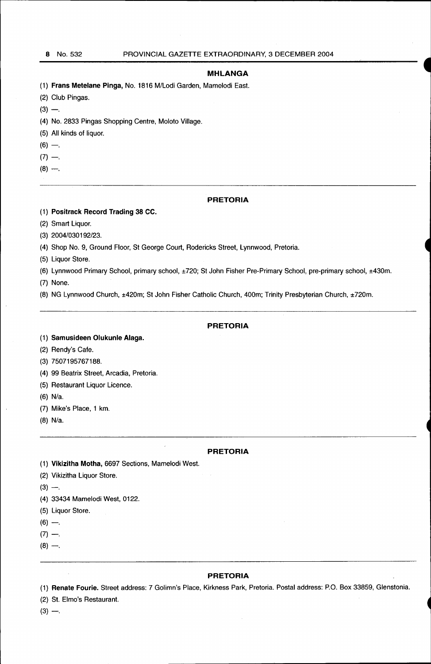## **MHLANGA**

- (1) **Frans Metelane Pinga,** No. 1816 M/Lodi Garden, Mamelodi East.
- (2) Club Pingas.
- $(3) -$ .
- (4) No. 2833 Pingas Shopping Centre, Moloto Village.
- (5) All kinds of liquor.
- $(6) -$
- $(7) -$ .
- $(8) -$ .

## **PRETORIA**

- (1) **Positrack Record Trading** 38 CC.
- (2) Smart Liquor.

(3) 2004/030192/23.

(4) Shop No. 9, Ground Floor, St George Court, Rodericks Street, Lynnwood, Pretoria.

- (5) Liquor Store.
- (6) Lynnwood Primary School, primary school, ±720; St John Fisher Pre-Primary School, pre-primary school, ±430m.
- (7) None.

(8) NG Lynnwood Church, ±420m; StJohn Fisher Catholic Church, 400m; Trinity Presbyterian Church, ±720m.

## **PRETORIA**

## (1) **Samusideen Olukunle Alaga.**

(2) Rendy's Cafe.

(3) 7507195767188.

- (4) 99 Beatrix Street, Arcadia, Pretoria.
- (5) Restaurant Liquor Licence.
- (6) N/a.
- (7) Mike's Place, 1 km.
- (8) N/a.

#### **PRETORIA**

- (1) **Vikizitha Motha,** 6697 Sections, Mamelodi West.
- (2) Vikizitha Liquor Store.
- $(3) -$ .
- (4) 33434 Mamelodi West, 0122.
- (5) Liquor Store.
- $(6) -$ .
- $(7) -$ .
- $(8) -$ .

#### **PRETORIA**

(1) **Renate Fourie.** Street address: 7 Golimn's Place, Kirkness Park, Pretoria. Postal address: P.O. Box 33859, Glenstonia.

(2) St. Elmo's Restaurant.

 $(3) -$ .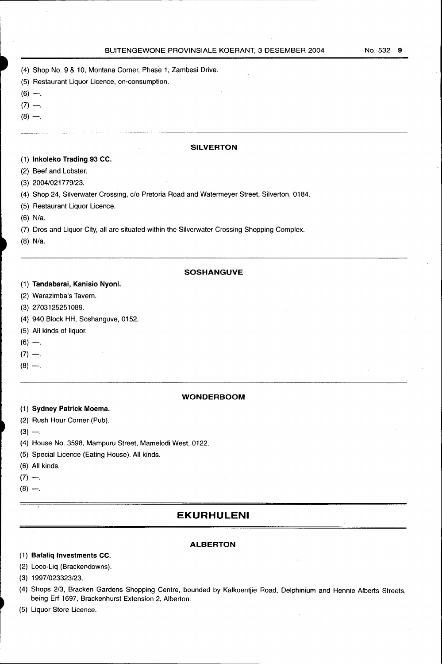- (4) Shop No. 9 & 10, Montana Corner, Phase 1, Zambesi Drive.
- (5) Restaurant Liquor Licence, on-consumption.
- $(6) -$ .
- $(7) -$
- $(8) -$ .

## **SILVERTON**

## (1) **lnkoleko Trading 93 CC.**

- (2) Beef and Lobster.
- (3) 2004/021779/23.
- (4) Shop 24, Silverwater Crossing, c/o Pretoria Road and Watermeyer Street, Silverton, 0184.
- (5) Restaurant Liquor Licence.
- (6) N/a.
- (7) Dros and Liquor City, all are situated within the Silverwater Crossing Shopping Complex.
- (8) N/a.

### **SOSHANGUVE**

## (1) **Tandabarai, Kanisio Nyoni.**

- (2) Warazimba's Tavern.
- (3) 2703125251089.
- (4) 940 Block HH, Soshanguve, 0152.
- (5) All kinds of liquor.
- $(6) -$ .
- $(7) -$ .
- $(8)$  -...

## **WONDER BOOM**

## (1) **Sydney Patrick Moema.**

- (2) Rush Hour Corner (Pub).
- $(3) -$ .
- (4) House No. 3598, Mampuru Street, Mamelodi West, 0122.
- (5) Special Licence (Eating House). All kinds.
- (6) All kinds.
- $(7) -$ .
- $(8) -$ .

## **EKURHULENI**

## **ALBERTON**

## (1) **Bafaliq Investments CC.**

- (2) Loco-Liq. (Brackendowns).
- (3) 1997/023323/23.
- (4) Shops 2/3, Bracken Gardens Shopping Centre, bounded by Kalkoentjie Road, Delphinium and Hennie Alberts Streets, being Erf 1697, Brackenhurst Extension 2, Alberton.
- (5) Liquor Store Licence.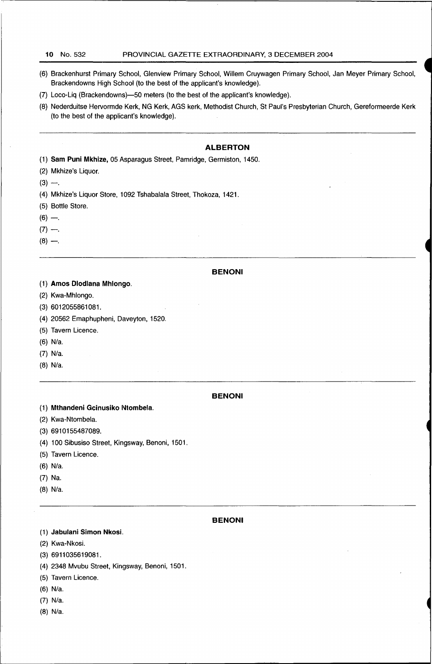#### **10** No. 532 PROVINCIAL GAZETTE EXTRAORDINARY, 3 DECEMBER 2004

- (6) Brackenhurst Primary School, Glenview Primary School, Willem Cruywagen Primary School, Jan Meyer Primary School, Brackendowns High School (to the best of the applicant's knowledge).
- (7) Loco-Liq (Brackendowns)-50 meters (to the best of the applicant's knowledge).
- (8) Nederduitse Hervormde Kerk, NG Kerk, AGS kerk, Methodist Church, St Paul's Presbyterian Church, Gereformeerde Kerk (to the best of the applicant's knowledge).

## **ALBERTON**

- (1) **Sam Puni Mkhize,** 05 Asparagus Street, Pam ridge, Germiston, 1450.
- (2) Mkhize's Liquor.
- $(3) -$
- (4) Mkhize's Liquor Store, 1092 Tshabalala Street, Thokoza, 1421.
- (5) Bottle Store.
- $(6)$  -..
- $(7) -$
- $(8) -$

## **BENONI**

- (1) **Amos Dlodlana Mhlongo.**
- (2) Kwa-Mhlongo.
- (3) 6012055861081.
- (4) 20562 Emaphupheni, Daveyton, 1520.
- (5) Tavern Licence.
- (6) N/a.
- (7) N/a.
- (8) N/a.

#### **BENONI**

- (1) **Mthandeni Gcinusiko Ntombela.**
- (2) Kwa-Ntombela.
- (3) 6910155487089.
- (4) 100 Sibusiso Street, Kingsway, Benoni, 1501.
- (5) Tavern Licence.
- (6) N/a.
- (7) Na.
- (8) N/a.

### **BENONI**

(1) **Jabulani Simon Nkosi.** 

- (2) Kwa-Nkosi.
- (3) 6911035619081.
- (4) 2348 Mvubu Street, Kingsway, Benoni, 1501.
- (5) Tavern Licence.
- (6) N/a.
- (7) N/a.
- (8) N/a.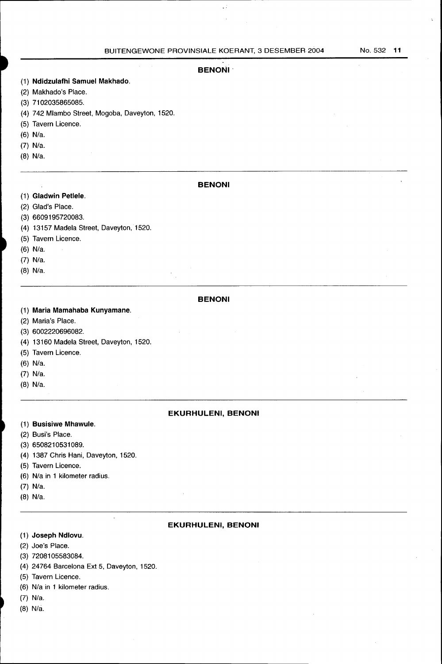## **BENONI·**

## (1) **Ndidzulafhi Samuel Makhado.**

- (2) Makhado's Place.
- (3) 71 02035865085.
- (4) 742 Mlambo Street, Mogoba, Daveyton, 1520.
- (5) Tavern Licence.
- (6) N/a.
- (7) N/a.
- (8) N/a.

## **BENONI**

- (1) **Gladwin Petlele.**
- (2) Glad's Place.
- (3) 6609195720083.
- (4) 13157 Madela Street, Daveyton, 1520.
- (5) Tavern Licence.
- (6) N/a.
- (7) N/a.
- (8) N/a.

## **BENONI**

- (1) **Maria Mamahaba Kunyamane.**
- (2) Maria's Place.
- (3) 6002220696082.
- (4) 13160 Madela Street, Daveyton, 1520.
- (5) Tavern Licence.
- (6) N/a.
- (7) N/a.
- (8) N/a.

## **EKURHULENI, BENONI**

## (1) **Busisiwe Mhawule.**

- (2) Busi's Place.
- (3) 6508210531089.
- (4) 1387 Chris Hani, Daveyton, 1520.
- (5) Tavern Licence.
- (6) N/a in 1 kilometer radius.
- (7) N/a.
- (8) N/a.

#### **EKURHULENI, BENONI**

## (1) **Joseph Ndlovu.**

- (2) Joe's Place.
- (3) 72081 05583084.
- (4) 24764 Barcelona Ext 5, Daveyton, 1520.
- (5) Tavern Licence.
- (6) N/a in 1 kilometer radius.
- (7) N/a.
- $(8)$  N/a.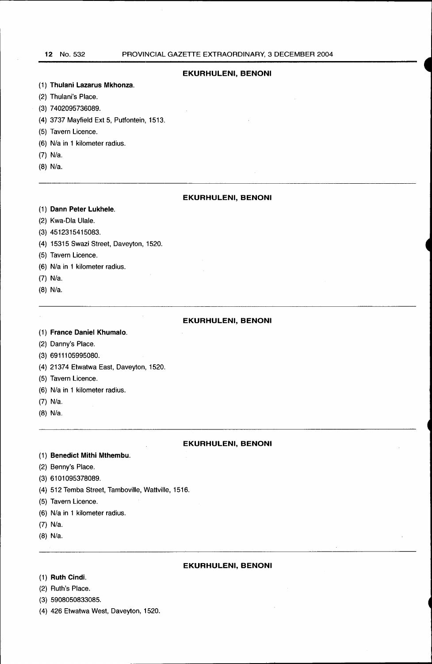## **EKURHULENI, BENONI**

#### (1) **Thulani Lazarus Mkhonza.**

- (2) Thulani's Place.
- (3) 7 402095736089.
- (4) 3737 Mayfield Ext 5, Putfontein, 1513.
- (5) Tavern Licence.
- (6) N/a in 1 kilometer radius.
- (7) N/a.
- (8) N/a.

## **EKURHULENI, BENONI**

#### (1) **Dann Peter Lukhele.**

- (2) Kwa-Dia Ulale.
- (3) 4512315415083.
- (4) 15315 Swazi Street, Daveyton, 1520.
- (5) Tavern Licence.
- (6) N/a in 1 kilometer radius.
- (7) N/a.
- (8) N/a.

#### **EKURHULENI, BENONI**

- (1) **France Daniel Khumalo.**
- (2) Danny's Place.
- (3) 6911105995080.
- (4) 21374 Etwatwa East, Daveyton, 1520.
- (5) Tavern Licence.
- (6) N/a in 1 kilometer radius.
- (7) N/a.
- (8) N/a.

## **EKURHULENI, BENONI**

- (1) **Benedict Mithi Mthembu.**
- (2) Benny's Place.
- (3) 6101095378089.
- (4) 512 Temba Street, Tamboville, Wattville, 1516.
- (5) Tavern Licence.
- (6) N/a in 1 kilometer radius.
- (7) N/a.
- (8) N/a.

## **EKURHULENI, BENONI**

- (1) **Ruth Cindi.**
- (2) Ruth's Place.
- (3) 5908050833085.
- (4) 426 Etwatwa West, Daveyton, 1520.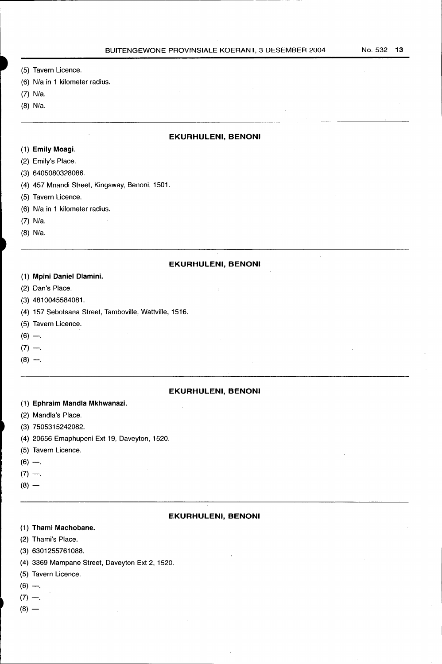$\mathbf{r}$ 

- (5) Tavern Licence.
- (6) N/a in 1 kilometer radius.
- (7) N/a.
- (8) N/a.

#### **EKURHULENI, BENONI**

- (1) **Emily Moagi.**
- (2) Emily's Place.
- (3) 6405080328086.
- (4) 457 Mnandi Street, Kingsway, Benoni, 1501.

-------------------------------------------------------·---

- (5) Tavern Licence.
- (6) N/a in 1 kilometer radius.
- (7) N/a.
- (8) N/a.

#### **EKURHULENI, BENONI**

- (1) **Mpini Daniel Dlamini.**
- (2) Dan's Place.
- (3) 4810045584081.
- (4) 157 Sebotsana Street, Tamboville, Wattville, 1516.
- (5) Tavern Licence.
- $(6) -$
- $(7) -$ .
- $(8) -$

## **EKURHULENI, BENONI**

- (1) **Ephraim Mandla Mkhwanazi.**
- (2) Mandla's Place.
- (3) 7505315242082.
- (4) 20656 Emaphupeni Ext 19, Daveyton, 1520.
- (5) Tavern Licence.
- $(6) -$ .
- $(7) -$ .
- $(8) -$

#### **EKURHULENI, BENONI**

- (1) **Thami Machobane.**
- (2) Thami's Place.
- (3) 6301255761088.
- (4) 3369 Mampane Street, Daveyton Ext 2, 1520.
- (5) Tavern Licence.
- $(6) -$
- $(7) -$ .
- $(8)$  —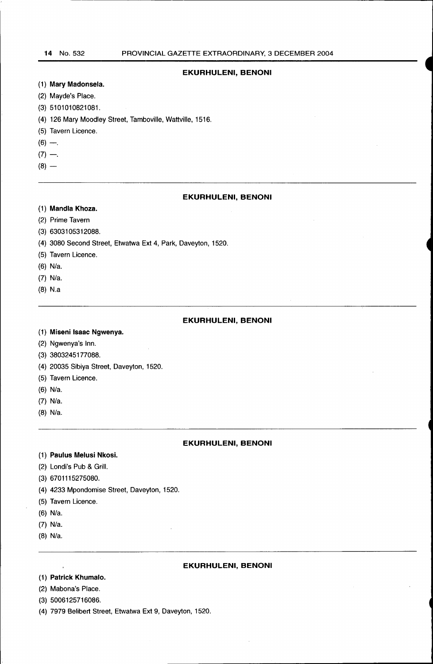## **EKURHULENI, BENONI**

## (1} **Mary Madonsela.**

- (2) Mayde's Place.
- (3) 5101010821081.
- (4) 126 Mary Moodley Street, Tamboville, Wattville, 1516.
- (5) Tavern Licence.
- $(6) -$
- $(7) -$
- $(8)$  —

## **EKURHULENI, BENONI**

- (1) **Mandla Khoza.**
- (2) Prime Tavern
- (3) 6303105312088.
- (4) 3080 Second Street, Etwatwa Ext 4, Park, Daveyton, 1520.
- (5) Tavern Licence.
- (6) N/a.
- (7) N/a.
- (8) N.a

## **EKURHULENI, BENONI**

### (1) **Miseni Isaac Ngwenya.**

- (2) Ngwenya's Inn.
- (3) 3803245177088.
- (4) 20035 Sibiya Street, Daveyton, 1520.
- (5) Tavern Licence.
- (6) N/a.
- (7) N/a.
- (8) N/a.

#### **EKURHULENI, BENONI**

- (1) **Paulus Melusi Nkosi.**
- (2) Londi's Pub & Grill.
- (3) 6701115275080.
- (4) 4233 Mpondomise Street, Daveyton, 1520.
- (5) Tavern Licence.
- (6) N/a.
- (7) N/a.
- (8} N/a.

## **EKURHULENI, BENONI**

- (1} **Patrick Khumalo.**
- (2) Mabona's Place.
- (3) 5006125716086.
- (4) 7979 Belibert Street, Etwatwa Ext 9, Daveyton, 1520.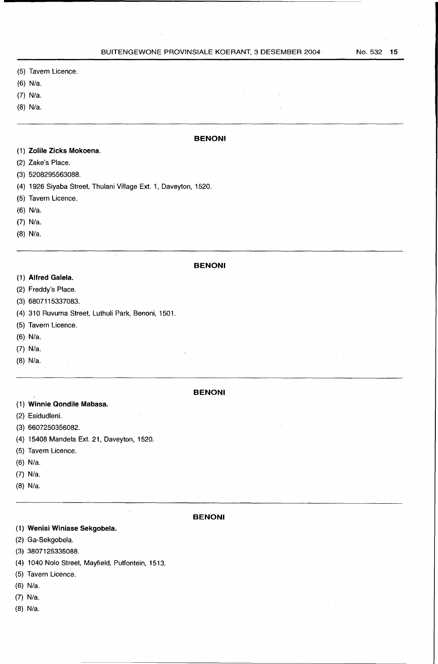**BENONI** 

- (5) Tavern Licence.
- (6} N/a.
- (7) N/a.
- (8) N/a.

## (1) **Zolile Zicks Mokoena.**

- (2) Zake's Place.
- (3) 5208295563088.
- (4) 1926 Siyaba Street, Thulani Village Ext. 1, Daveyton, 1520.
- (5) Tavern Licence.
- (6) N/a.
- (7) N/a.
- (8) N/a.

#### **BENONI**

- (1) **Alfred Galela.**
- (2) Freddy's Place.
- (3) 6807115337083.
- (4) 310 Ruvuma Street, Luthuli Park, Benoni, 1501.
- (5) Tavern Licence.
- (6} N/a.
- (7) N/a.
- (8) N/a.

#### **BENONI**

- (1) **Winnie Qondile Mabasa.**
- (2} Esidudleni.
- (3) 6607250356082.
- (4) 15408 Mandela Ext. 21, Daveyton, 1520.
- (5) Tavern Licence.
- (6) N/a.
- (7) N/a.
- (8) N/a.
- 

#### **BENONI**

## (1} **Wenisi Winiase Sekgobela.**

- (2) Ga-Sekgobela.
- (3) 3807125335088.
- ( 4) 1 040 Nolo Street, Mayfield, Putfontein, 1513.

 $\ddot{\phantom{a}}$ 

- (5) Tavern Licence.
- (6) N/a.
- (7) N/a.
- (8) N/a.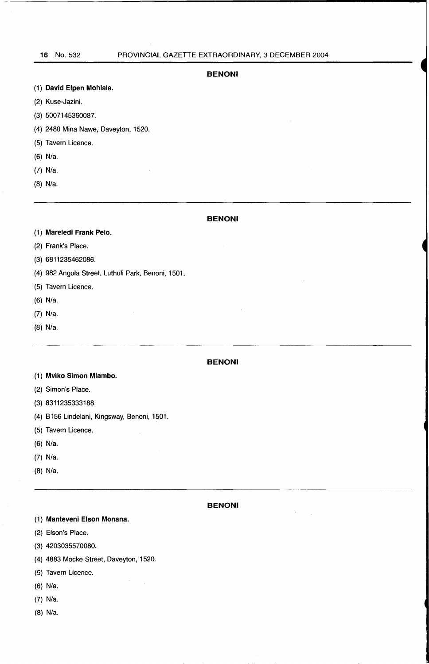#### **BENONI**

|  |  |  | (1) David Elpen Mohlala. |
|--|--|--|--------------------------|
|--|--|--|--------------------------|

- (2) Kuse-Jazini.
- (3) 5007145360087.
- (4) 2480 Mina Nawe, Daveyton, 1520.
- (5) Tavern Licence.
- (6) N/a.
- (7) N/a.
- (8) N/a.

## **BENONI**

- (1) **Mareledi Frank Pelo.**
- (2) Frank's Place.
- (3) 6811235462086.
- ( 4) 982 Angola Street, Luthuli Park, Benoni, 1501.

 $\mathcal{L}_{\rm{in}}$ 

- (5) Tavern Licence.
- (6) N/a.
- (7) N/a.
- (8) N/a.

## **BENONI**

- (1) **Mviko Simon Mlambo.**
- (2) Simon's Place.
- (3) 8311235333188.
- (4) B156 Lindelani, Kingsway, Benoni, 1501.
- (5) Tavern Licence.
- (6) N/a.
- (7) N/a.
- (8) N/a.

#### **BENONI**

 $\mathcal{L}$ 

 $\sim$ 

(1) **Manteveni Elson Monana.** 

- (2) Elson's Place.
- (3) 4203035570080.
- (4) 4883 Mocke Street, Daveyton, 1520.

 $\bar{\beta}$ 

- (5) Tavern Licence.
- (6) N/a.
- (7) N/a.
- (8) N/a.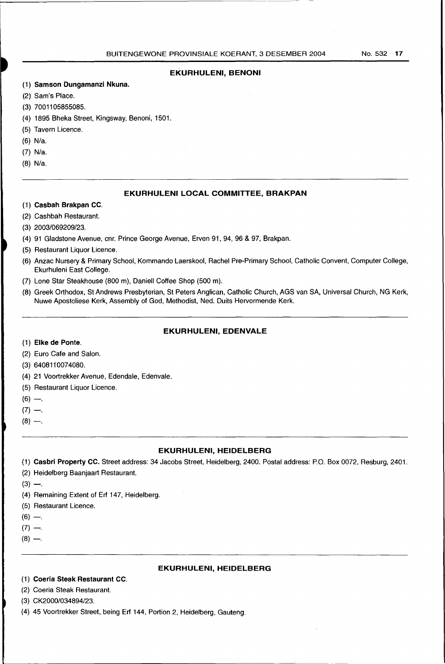## **EKURHULENI, BENONI**

- (1) **Samson Dungamanzi Nkuna.**
- (2) Sam's Place.
- (3) 7001105855085.
- (4) 1895 Bheka Street, Kingsway, Benoni, 1501.
- (5) Tavern Licence.
- (6) N/a.
- (7) N/a.
- (8) N/a.

## **EKURHULENI LOCAL COMMITTEE, BRAKPAN**

- (1) **Casbah Brakpan CC.**
- (2) Cashbah Restaurant.
- (3) 2003/069209/23.
- (4) 91 Gladstone Avenue, cnr. Prince George Avenue, Erven 91, 94, 96 & 97, Brakpan.
- (5) Restaurant Liquor Licence.
- (6) Anzac Nursery & Primary School, Kommando Laerskool, Rachel Pre-Primary School, Catholic Convent, Computer College, Ekurhuleni East College.
- (7) Lone Star Steakhouse (800 m), Daniell Coffee Shop (500 m).
- (8) Greek Orthodox, St Andrews Presbyterian, St Peters Anglican, Catholic Church, AGS van SA, Universal Church, NG Kerk, Nuwe Apostoliese Kerk, Assembly of God, Methodist, Ned. Duits Hervormende Kerk.

## **EKURHULENI, EDENVALE**

- (1) **Elke de Ponte.**
- (2) Euro Cafe and Salon.
- (3) 6408110074080.
- (4) 21 Voortrekker Avenue, Edendale, Edenvale.
- (5) Restaurant Liquor Licence.
- $(6) -$
- $(7) -$ .
- $(8) -$ .

## **EKURHULENI, HEIDELBERG**

(1) **Casbri Property CC.** Street address: 34 Jacobs Street, Heidelberg, 2400. Postal address: P.O. Box 0072, Resburg, 2401.

- (2) Heidelberg Baanjaart Restaurant.
- $(3) -$ .
- (4) Remaining Extent of Erf 147, Heidelberg.
- (5) Restaurant Licence.
- $(6) -$
- $(7) -$
- $(8) -$

## **EKURHULENI, HEIDELBERG**

- (1) **Coeria Steak Restaurant CC.**
- (2) Coeria Steak Restaurant.
- (3) CK2000/034894/23.
- (4) 45 Voortrekker Street, being Erf 144, Portion 2, Heidelberg, Gauteng.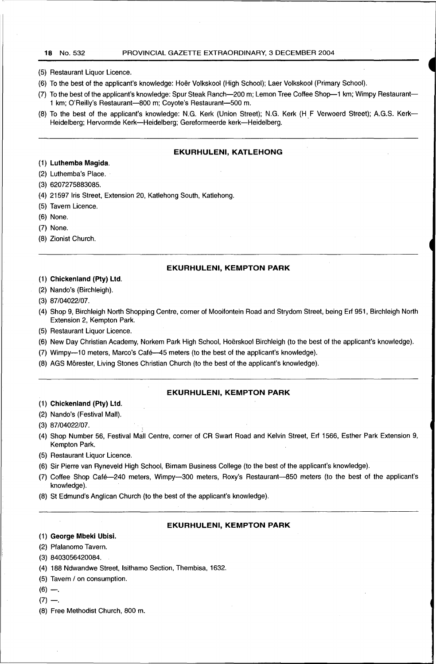- (5) Restaurant Liquor Licence.
- (6) To the best of the applicant's knowledge: Hoer Volkskool (High School); Laer Volkskool (Primary School).
- (7) To the best of the applicant's knowledge: Spur Steak Ranch-200 m; Lemon Tree Coffee Shop-1 km; Wimpy Restaurant-1 km; O'Reilly's Restaurant-800 m; Coyote's Restaurant-500 m.
- (8) To the best of the applicant's knowledge: N.G. Kerk (Union Street); N.G. Kerk (H F Verwoerd Street); A.G.S. Kerk-Heidelberg; Hervormde Kerk-Heidelberg; Gereformeerde kerk-Heidelberg.

#### **EKURHULENI, KATLEHONG**

- (1) **Luthemba Magida.**
- (2) Luthemba's Place.
- (3) 6207275883085.
- (4) 21597 Iris Street, Extension 20, Katlehong South, Katlehong.
- (5) Tavern Licence.
- (6) None.
- (7) None.
- (8) Zionist Church.

#### **EKURHULENI, KEMPTON PARK**

## (1) **Chicken land (Pty) Ltd.**

- (2) Nando's (Birchleigh).
- (3) 87/04022/07.
- (4) Shop 9, Birchleigh North Shopping Centre, corner of Mooifontein Road and Strydom Street, being Erf 951, Birchleigh North Extension 2, Kempton Park.
- (5) Restaurant Liquor Licence.
- (6) New Day Christian Academy, Norkem Park High School, Hoerskool Birchleigh (to the best of the applicant's knowledge).
- (7) Wimpy-10 meters, Marco's Cafe-45 meters (to the best of the applicant's knowledge).
- (8) AGS Morester, Living Stones Christian Church (to the best of the applicant's knowledge).

## **EKURHULENI, KEMPTON PARK**

## (1) **Chickenland (Pty) Ltd.**

- (2) Nando's (Festival Mall).
- (3) 87/04022/07.
- (4) Shop Number 56, Festival Mall Centre, corner of CR Swart Road and Kelvin Street, Erf 1566, Esther Park Extension 9, Kempton Park.
- (5) Restaurant Liquor Licence.
- (6) Sir Pierre van Ryneveld High School, Birnam Business College (to the best of the applicant's knowledge).
- (7) Coffee Shop Cafe-240 meters, Wimpy-300 meters, Roxy's Restaurant-850 meters (to the best of the applicant's knowledge).
- (8) St Edmund's Anglican Church (to the best of the applicant's knowledge).

#### **EKURHULENI, KEMPTON PARK**

#### (1) **George Mbeki Ubisi.**

- (2) Pfalanomo Tavern.
- (3) 8403056420084.
- ( 4) 188 Ndwandwe Street, lsithamo Section, Thembisa, 1632.
- (5) Tavern / on consumption.
- $(6) -$
- $(7) -$ .
- (8) Free Methodist Church, 800 m.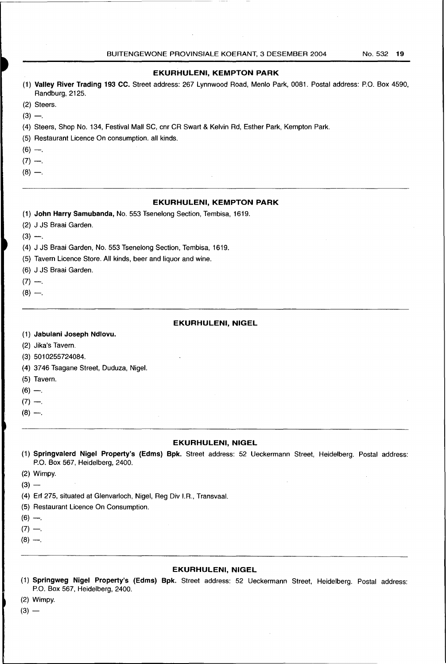## **EKURHULENI, KEMPTON PARK**

- (1) **Valley River Trading 193 CC.** Street address: 267 Lynnwood Road, Menlo Park, 0081. Postal address: P.O. Box 4590, Randburg, 2125.
- (2) Steers.
- $(3) -$ .
- (4) Steers, Shop No. 134, Festival Mall SC, cnr CR Swart & Kelvin Rd, Esther Park, Kempton Park.
- (5) Restaurant Licence On consumption. all kinds.
- $(6) -$ .
- $(7) -$ .
- $(8) -$ .

## **EKURHULENI, KEMPTON PARK**

- (1) **John Harry Samubanda,** No. 553 Tsenelong Section, Tembisa, 1619.
- (2) J JS Braai Garden.
- $(3) -$ .
- (4) J JS Braai Garden, No. 553 Tsenelong Section, Tembisa, 1619.
- (5) Tavern Licence Store. All kinds, beer and liquor and wine.
- (6) J JS Braai Garden.
- $(7) -$ .
- $(8) -$ .

#### **EKURHULENI, NIGEL**

- (1) **Jabulani Joseph Ndlovu.**
- (2) Jika's Tavern.

(3) 5010255724084.

- (4) 3746 Tsagane Street, Duduza, Nigel.
- (5) Tavern.
- $(6) -$
- $(7) -$
- $(8) -$ .

- **EKURHULENI, NIGEL**
- (1) **Springvalerd Nigel Property's (Edms) Bpk.** Street address: 52 Ueckermann Street, Heidelberg. Postal address: P.O. Box 567, Heidelberg, 2400.
- (2) Wimpy.
- $(3) -$
- (4) Erf 275, situated at Glenvarloch, Nigel, Reg Div I.R., Transvaal.
- (5) Restaurant Licence On Consumption.
- $(6) -$ .
- $(7) -$
- $(8) -$ .

#### **EKURHULENI, NIGEL**

- (1) **Springweg Nigel Property's (Edms) Bpk.** Street address: 52 Ueckermann Street, Heidelberg. Postal address: P.O. Box 567, Heidelberg, 2400.
- (2) Wimpy.
- $(3)$  —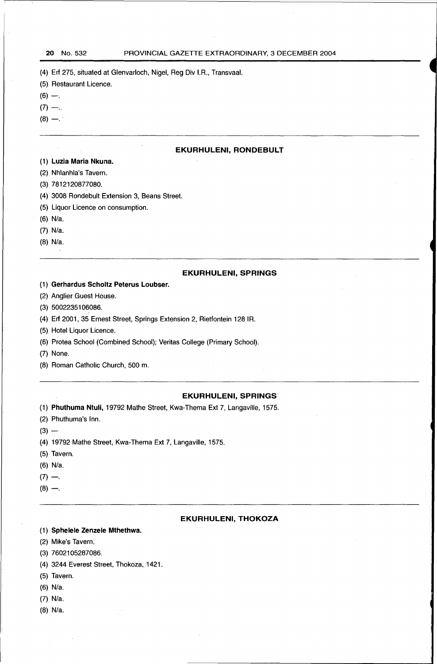(4) Erf 275, situated at Glenvarloch, Nigel, Reg Div I.A., Transvaal.

- (5) Restaurant Licence.
- $(6) -$
- $(7) -$ .
- $(8) -$ .

## **EKURHULENI, RONDEBULT**

## (1) **Luzia Maria Nkuna.**

- (2) Nhlanhla's Tavern.
- (3) 7812120877080.
- (4) 3008 Rondebult Extension 3, Beans Street.
- (5) Liquor Licence on consumption.
- (6) N/a.
- (7) N/a.
- (8) N/a.

## **EKURHULENI, SPRINGS**

- (1) **Gerhard us Scholtz Peterus Loubser.**
- (2) Anglier Guest House.
- (3) 50022351 06086.
- (4) Erf 2001, 35 Ernest Street, Springs Extension 2, Rietfontein 1281R.
- (5) Hotel Liquor Licence.
- (6) Protea School (Combined School); Veritas College (Primary School).
- (7) None.
- (8) Roman Catholic Church, 500 m.

#### **EKURHULENI, SPRINGS**

- (1) **Phuthuma Ntuli,** 19792 Mathe Street, Kwa-Thema Ext 7, Langaville, 1575.
- (2) Phuthuma's Inn.
- $(3) -$
- (4) 19792 Mathe Street, Kwa-Thema Ext 7, Langaville, 1575.
- (5) Tavern.
- (6) N/a.
- $(7) -$
- $(8) -$ .

#### **EKURHULENI, THOKOZA**

- (1) **Sphelele Zenzele Mthethwa.**
- (2) Mike's Tavern.
- (3) 7602105287086.
- (4) 3244 Everest Street, Thokoza, 1421.
- (5) Tavern.
- (6) N/a.
- (7) N/a.
- (8) N/a.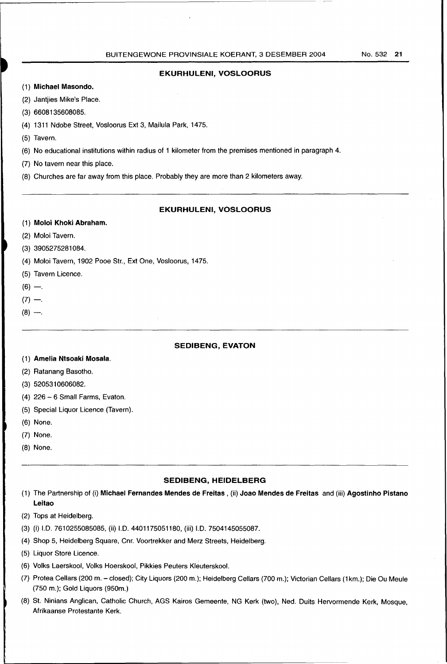## **EKURHULENI, VOSLOORUS**

- (1) **Michael Masondo.**
- (2) Jantjies Mike's Place.
- (3) 6608135608085.
- (4) 1311 Ndobe Street, Vosloorus Ext 3, Mailula Park, 1475.
- (5) Tavern.
- (6) No educational institutions within radius of 1 kilometer from the premises mentioned in paragraph 4.
- (7) No tavern near this place.
- (8) Churches are far away from this place. Probably they are more than 2 kilometers away.

## **EKURHULENI, VOSLOORUS**

## (1) **Moloi Khoki Abraham.**

- (2) Moloi Tavern.
- (3) 3905275281 084.
- (4) Moloi Tavern, 1902 Pooe Str., Ext One, Vosloorus, 1475.
- (5) Tavern Licence.
- $(6)$  -..
- $(7) -$ .
- $(8) -$ .

## **SEDIBENG, EVATON**

- (1) **Amelia Ntsoaki Mosala.**
- (2) Ratanang Basotho.
- (3) 520531 0606082.
- (4) 226-6 Small Farms, Evaton.
- (5) Special Liquor Licence (Tavern).
- (6) None.
- (7) None.
- (8) None.

#### **SEDIBENG, HEIDELBERG**

- (1) The Partnership of (i) **Michael Fernandes Mendes de Freitas** , (ii) **Joao Mendes de Freitas** and (iii) **Agostinho Pistano Leitao**
- (2) Tops at Heidelberg.
- (3) (i) 1.0. 7610255085085, (ii) 1.0. 4401175051180, (iii) 1.0. 7504145055087.
- (4) Shop 5, Heidelberg Square, Cnr. Voortrekker and Merz Streets, Heidelberg.
- (5) Liquor Store Licence.
- (6) Volks Laerskool, Volks Hoerskool, Pikkies Peuters Kleuterskool.
- (7) Protea Cellars (200 m. closed); City Liquors (200 m.); Heidelberg Cellars (700 m.); Victorian Cellars (1km.); Die Ou Meule (750 m.); Gold Liquors (950m.)
- (8) St. Ninians Anglican, Catholic Church, AGS Kairos Gemeente, NG Kerk (two), Ned. Ouits Hervormende Kerk, Mosque, Afrikaanse Protestante Kerk.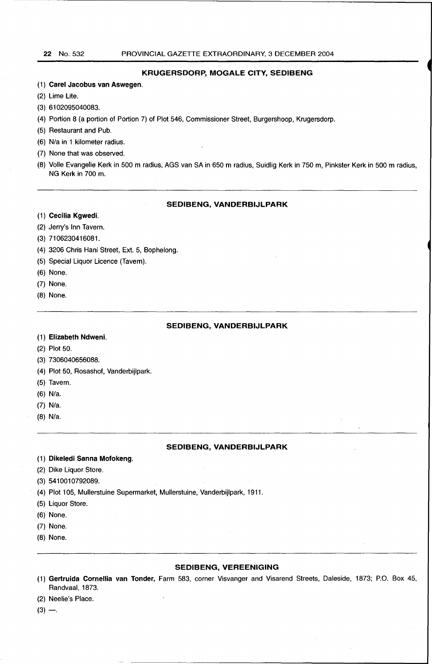## **KRUGERSDORP, MOGALE CITY, SEDIBENG**

- (1) **Carel Jacobus van Aswegen.**
- (2) Lime Lite.
- (3) 6102095040083.
- (4) Portion 8 (a portion of Portion 7) of Plot 546, Commissioner Street, Burgershoop, Krugersdorp.
- (5) Restaurant and Pub.
- (6) N/a in 1 kilometer radius.
- (7) None that was observed.
- (8) Volle Evangelie Kerk in 500 m radius, AGS van SA in 650 m radius, Suidlig Kerk in 750 m, Pinkster Kerk in 500 m radius, NG Kerk in 700 m.

## **SEDIBENG, VANDERBIJLPARK**

- (1) **Cecilia Kgwedi.**
- (2) Jerry's Inn Tavern.
- (3) 7106230416081.
- (4) 3206 Chris Hani Street, Ext. 5, Bophelong.
- (5) Special Liquor Licence (Tavern).
- (6) None.
- (7) None.
- (8) None.

## **SEDIBENG, VANDERBIJLPARK**

#### (1) **Elizabeth Ndweni.**

(2) Plot 50.

- (3) 7306040656088.
- (4) Plot 50, Rosashof, Vanderbijlpark.
- (5) Tavern.
- (6) N/a.
- (7) N/a.
- (8) N/a.

#### **SEDIBENG, VANDERBIJLPARK**

- (1) **Dikeledi Sanna Mofokeng.**
- (2) Dike Liquor Store.
- (3) 5410010792089.
- (4) Plot 105, Mullerstuine Supermarket, Mullerstuine, Vanderbijlpark, 1911.
- (5) Liquor Store.
- (6) None.
- (7) None.
- (8) None.

#### **SEDIBENG, VEREENIGING**

- (1) **Gertruida Cornellia van Tonder,** Farm 583, corner Visvanger and Visarend Streets, Daleside, 1873; P.O. Box 45, Randvaal, 1873.
- (2) Neelie's Place.
- $(3) -$ .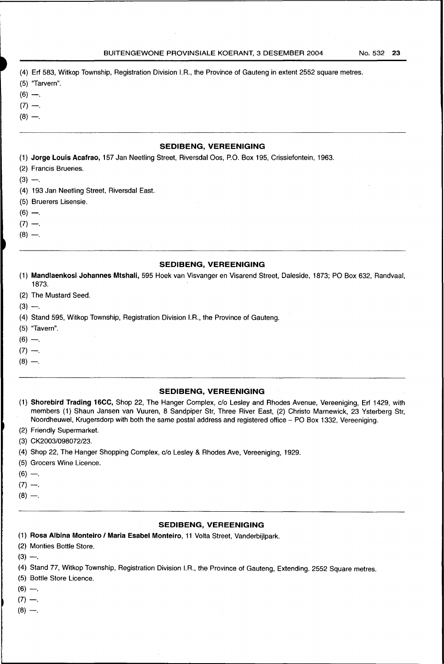- (4) Erf 583, Witkop Township, Registration Division I.A., the Province of Gauteng in extent 2552 square metres.
- (5) "Tarvern".
- $(6) -$ .
- $(7) -$
- $(8) -$ .

## **SEDIBENG, VEREENIGING**

- (1) **Jorge Louis Acafrao,** 157 Jan Neetling Street, Riversdal Oos, P.O. Box 195, Crissiefontein, 1963.
- (2) Francis Brueries.
- $(3) -$ .
- (4) 193 Jan Neetling Street, Riversdal East.
- (5) Bruerers Lisensie.
- $(6) -$ .
- $(7) -$ .
- $(8) -$ .

#### **SEDIBENG, VEREENIGING**

- (1) **Mandlaenkosi Johannes Mtshali,** 595 Hoek van Visvanger en Visarend Street, Daleside, 1873; PO Box 632, Randvaal, 1873.
- (2) The Mustard Seed.
- $(3) -$ .
- (4) Stand 595, Witkop Township, Registration Division I.A., the Province of Gauteng.
- (5) "Tavern".
- $(6) -$ .
- $(7) -$
- $(8) -$ .
- 

#### **SEDIBENG, VEREENIGING**

- (1) **Shorebird Trading 16CC,** Shop 22, The Hanger Complex, c/o Lesley and Rhodes Avenue, Vereeniging, Erf 1429, with members (1) Shaun Jansen van Vuuren, 8 Sandpiper Str, Three River East, (2) Christo Marnewick, 23 Ysterberg Str, Noordheuwel, Krugersdorp with both the same postal address and registered office - PO Box 1332, Vereeniging.
- (2) Friendly Supermarket.
- (3) CK2003/098072/23.
- (4) Shop 22, The Hanger Shopping Complex, c/o Lesley & Rhodes Ave, Vereeniging, 1929.
- (5) Grocers Wine Licence.
- $(6) -$ .
- $(7) -$ .
- $(8) -$ .

## **SEDIBENG, VEREENIGING**

(1) **Rosa Albina Monteiro I Maria Esabel Monteiro,** 11 Volta Street, Vanderbijlpark.

(2) Monties Bottle Store.

 $(3) -$ .

(4) Stand 77, Witkop Township, Registration Division I.A., the Province of Gauteng, Extending. 2552 Square metres.

- (5) Bottle Store Licence.
- $(6) -$ .
- $(7) -$ .
- $(8) -$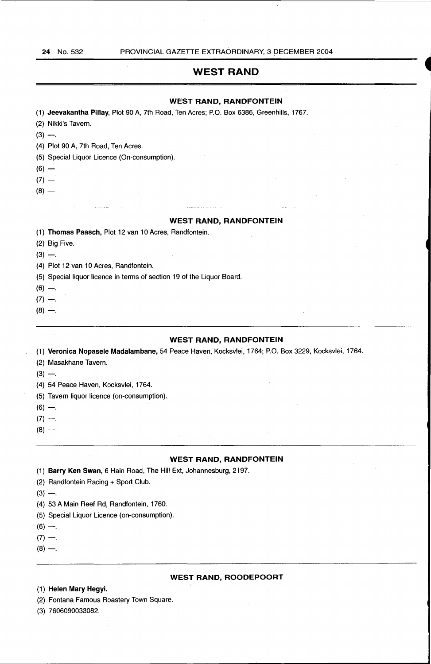## **WEST RAND**

## **WEST RAND, RANDFONTEIN**

(1) **Jeevakantha Pillay,** Plot 90 A, 7th Road, Ten Acres; P.O. Box 6386, Greenhills, 1767.

- (2) Nikki's Tavern.
- $(3) -$ .

(4) Plot 90 A, 7th Road, Ten Acres.

- (5) Special Liquor Licence (On-consumption).
- $(6)$  —
- $(7) -$
- $(8)$  —

## **WEST RAND, RANDFONTEIN**

- (1) **Thomas Paasch,** Plot 12 van 10 Acres, Randfontein.
- (2) Big Five.
- $(3) -$

(4) Plot 12 van 10 Acres, Randfontein.

(5) Special liquor licence in terms of section 19 of the Liquor Board.

- $(6) -$ .
- $(7) -$
- $(8) -$

## **WEST RAND, RANDFONTEIN**

(1) **Veronica Nopasele Madalambane,** 54 Peace Haven, Kocksvlei, 1764; P.O. Box 3229, Kocksvlei, 1764.

- (2) Masakhane Tavern.
- $(3) -$
- (4) 54 Peace Haven, Kocksvlei, 1764.
- (5) Tavern liquor licence (on-consumption).
- $(6) -$
- $(7) -$ .
- $(8)$  —

## **WEST RAND, RANDFONTEIN**

(1) **Barry Ken Swan,** 6 Hain Road, The Hill Ext, Johannesburg, 2197.

(2) Randfontein Racing + Sport Club.

- $(3) -$ .
- (4) 53 A Main Reef Ad, Randfontein, 1760.
- (5) Special Liquor Licence (on-consumption).
- $(6) -$ .
- $(7) -$
- $(8) -$
- 

#### **WEST RAND, ROODEPOORT**

## (1) **Helen Mary Hegyi.**

- (2) Fontana Famous Roastery Town Square.
- (3) 7606090033082.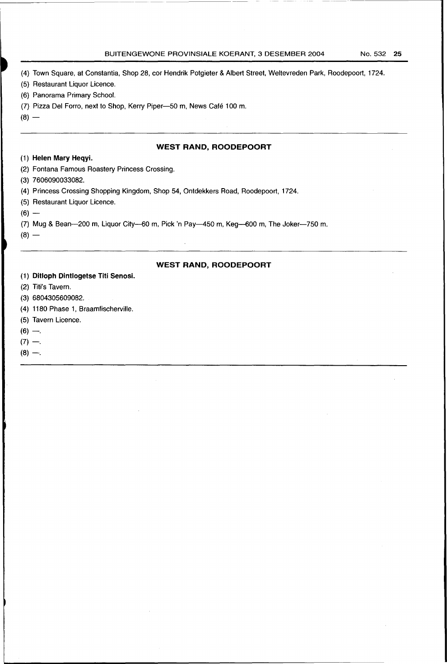#### BUITENGEWONE PROVINSIALE KOERANT, 3 DESEMBER 2004 No. 532 25

(4) Town Square, at Constantia, Shop 28, cor Hendrik Potgieter & Albert Street, Weltevreden Park, Roodepoort, 1724.

---------

- (5) Restaurant Liquor Licence.
- (6) Panorama Primary School.
- (7) Pizza Del Forro, next to Shop, Kerry Piper-50 m, News Café 100 m.
- $(8) -$

## **WEST RAND, ROODEPOORT**

## (1) **Helen Mary Heqyi.**

- (2) Fontana Famous Roastery Princess Crossing.
- (3) 7606090033082.
- (4) Princess Crossing Shopping Kingdom, Shop 54, Ontdekkers Road, Roodepoort, 1724.
- (5) Restaurant Liquor Licence.
- $(6) -$
- (7) Mug & Bean-200 m, Liquor City-60 m, Pick 'n Pay-450 m, Keg-600 m, The Joker-750 m.

 $(8)$  —

## **WEST RAND, ROODEPOORT**

## (1) **Ditloph Dintlogetse Titi Senosi.**

- (2) Titi's Tavern.
- (3) 6804305609082.
- (4) 1180 Phase 1, Braamfischerville.
- (5) Tavern Licence.
- $(6) -$

 $(7) -$ 

 $(8) -$ .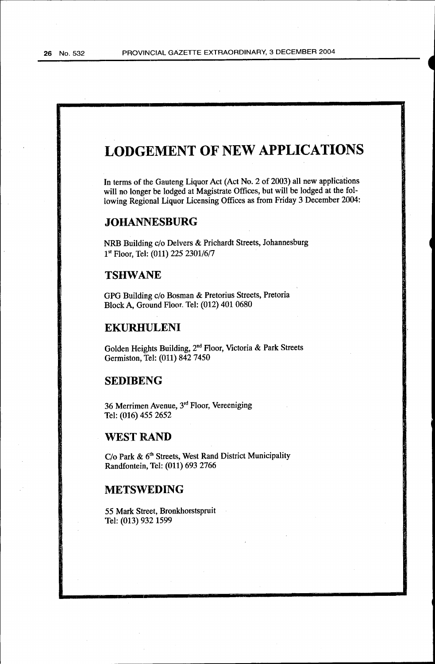## **LODGEMENT OF NEW APPLICATIONS**

In terms of the Gauteng Liquor Act (Act No. 2 of 2003) all new applications will no longer be lodged at Magistrate Offices, but will be lodged at the following Regional Liquor Licensing Offices as from Friday 3 December 2004:

## **JOHANNESBURG**

NRB Building c/o Delvers & Prichardt Streets, Johannesburg 1st Floor, Tel: (011) 225 2301/6/7

## **TSHWANE**

GPG Building c/o Bosman & Pretorius Streets, Pretoria Block A, Ground Floor. Tel: (012) 401 0680

## **EKURHULENI**

Golden Heights Building, 2nd Floor, Victoria & Park Streets Germiston, 'fel: (011) 842 7450

## **SEDIBENG**

36 Merrimen Avenue, 3rd Floor, Vereeniging Tel: (016) 455 2652

## **WEST RAND**

C/o Park & 6<sup>th</sup> Streets, West Rand District Municipality Randfontein, Tel: (011) 693 2766

## **METSWEDING**

55 Mark Street, Bronkhorstspruit Tel: (013) 932 1599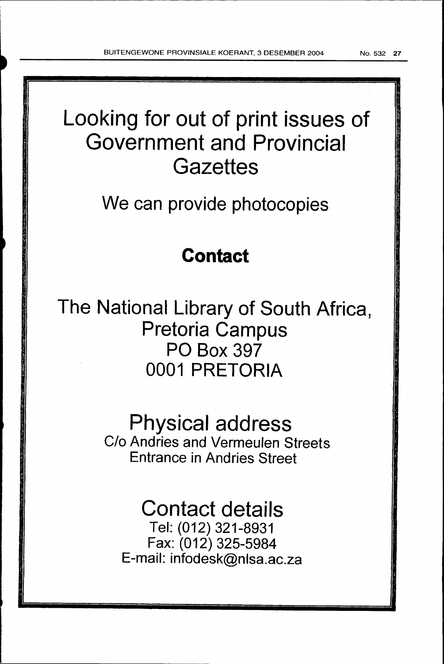# Looking for out of print issues of Government and Provincial **Gazettes**

We can provide photocopies

## **Contact**

The National Library of South Africa, Pretoria Campus PO Box 397 0001 PRETORIA

## Physical address

C/o Andries and Vermeulen Streets Entrance in Andries Street

## Contact details

Tel: (012) 321-8931 Fax: (012) 325-5984 E-mail: infodesk@nlsa.ac.za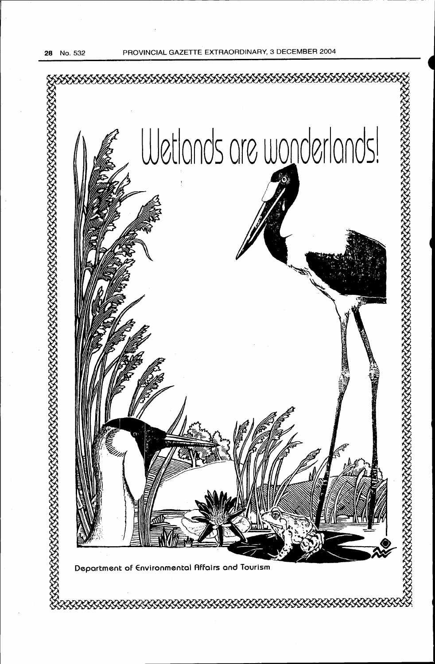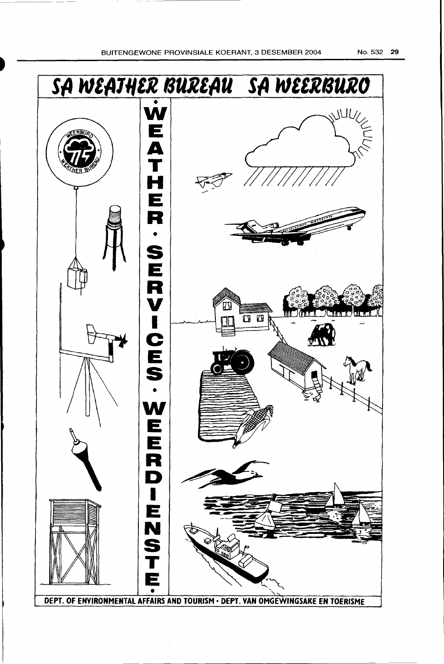.~--

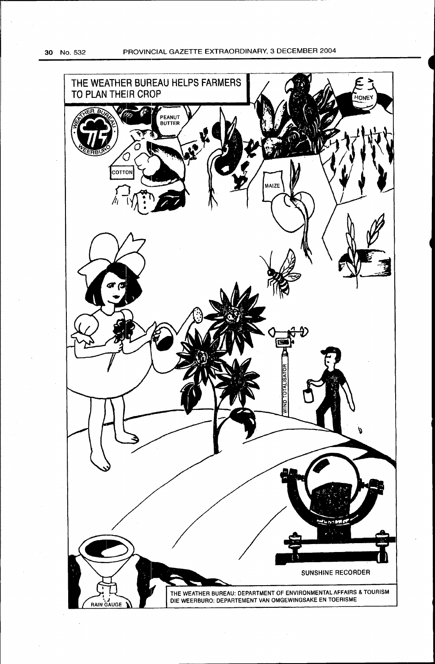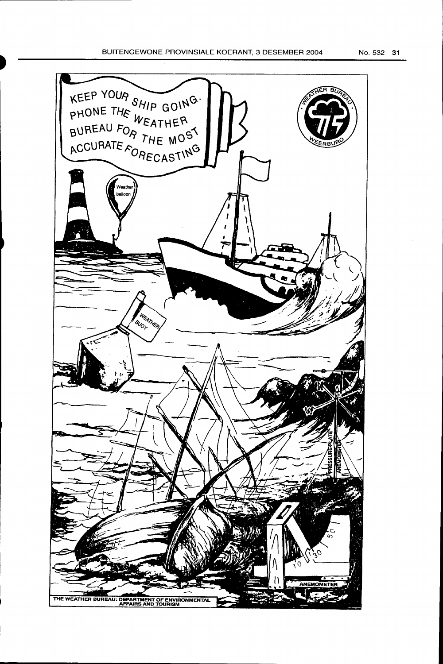